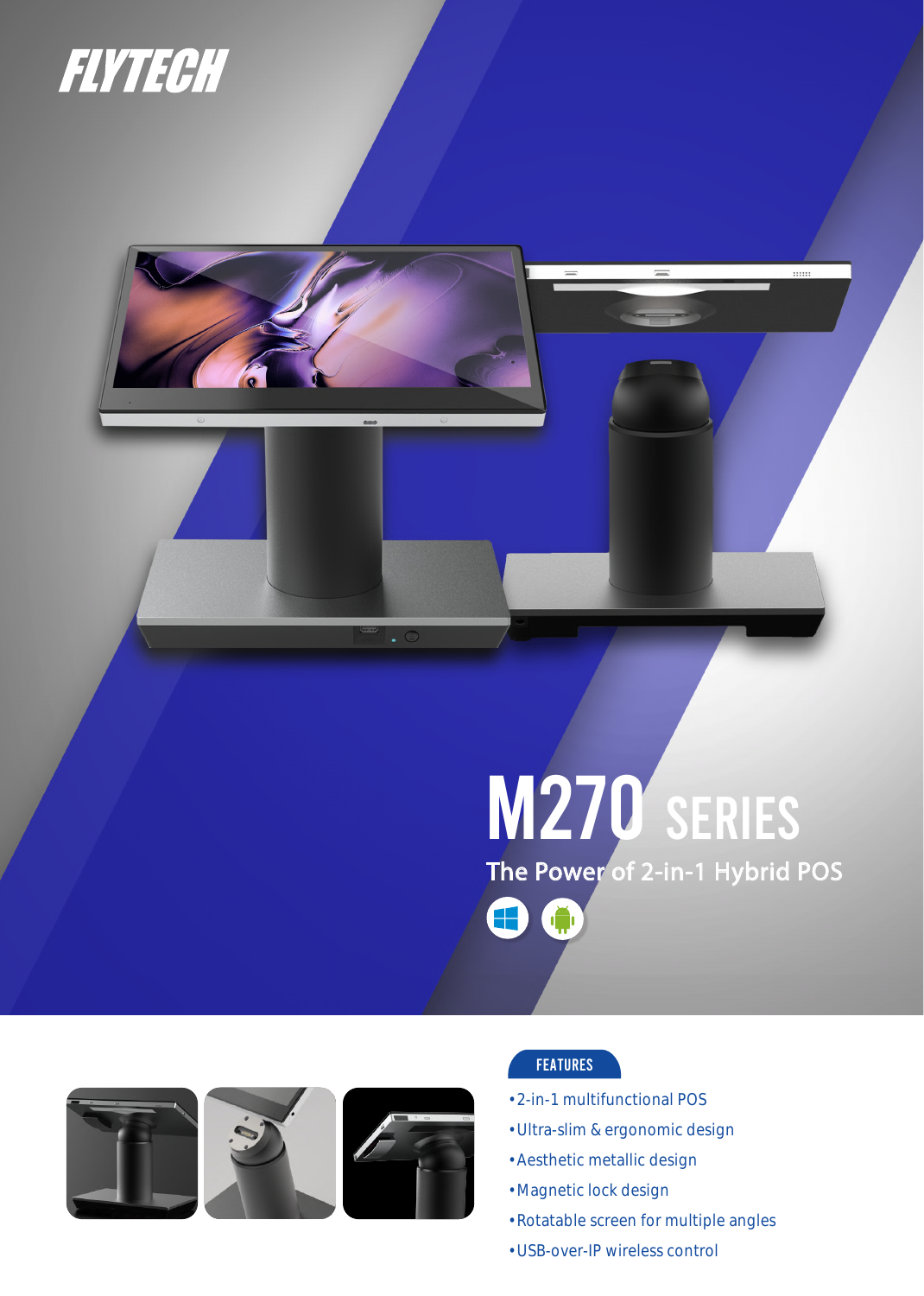



# M270 SERIES

The Power of 2-in-1 Hybrid POS







# FEATURES

G

 $\bigoplus$ 

- 2-in-1 multifunctional POS
- Ultra-slim & ergonomic design
- Aesthetic metallic design
- Magnetic lock design
- Rotatable screen for multiple angles
- USB-over-IP wireless control